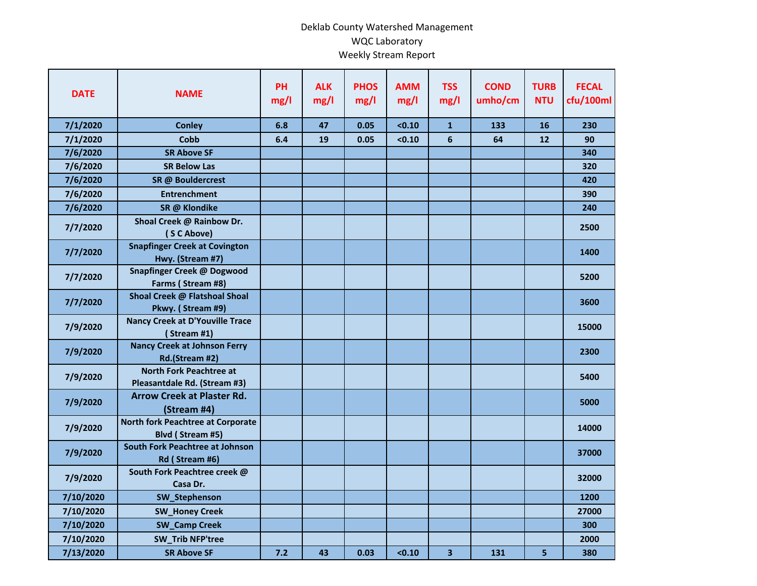## Deklab County Watershed Management WQC Laboratory Weekly Stream Report

| <b>DATE</b> | <b>NAME</b>                                                    | <b>PH</b><br>mg/l | <b>ALK</b><br>mg/l | <b>PHOS</b><br>mg/l | <b>AMM</b><br>mg/l | <b>TSS</b><br>mg/l      | <b>COND</b><br>umho/cm | <b>TURB</b><br><b>NTU</b> | <b>FECAL</b><br>cfu/100ml |
|-------------|----------------------------------------------------------------|-------------------|--------------------|---------------------|--------------------|-------------------------|------------------------|---------------------------|---------------------------|
| 7/1/2020    | <b>Conley</b>                                                  | 6.8               | 47                 | 0.05                | < 0.10             | $\mathbf{1}$            | 133                    | 16                        | 230                       |
| 7/1/2020    | Cobb                                                           | 6.4               | 19                 | 0.05                | < 0.10             | $6\phantom{1}$          | 64                     | 12                        | 90                        |
| 7/6/2020    | <b>SR Above SF</b>                                             |                   |                    |                     |                    |                         |                        |                           | 340                       |
| 7/6/2020    | <b>SR Below Las</b>                                            |                   |                    |                     |                    |                         |                        |                           | 320                       |
| 7/6/2020    | SR @ Bouldercrest                                              |                   |                    |                     |                    |                         |                        |                           | 420                       |
| 7/6/2020    | <b>Entrenchment</b>                                            |                   |                    |                     |                    |                         |                        |                           | 390                       |
| 7/6/2020    | SR @ Klondike                                                  |                   |                    |                     |                    |                         |                        |                           | 240                       |
| 7/7/2020    | Shoal Creek @ Rainbow Dr.<br>(SCAbove)                         |                   |                    |                     |                    |                         |                        |                           | 2500                      |
| 7/7/2020    | <b>Snapfinger Creek at Covington</b><br>Hwy. (Stream #7)       |                   |                    |                     |                    |                         |                        |                           | 1400                      |
| 7/7/2020    | Snapfinger Creek @ Dogwood<br>Farms (Stream #8)                |                   |                    |                     |                    |                         |                        |                           | 5200                      |
| 7/7/2020    | Shoal Creek @ Flatshoal Shoal<br>Pkwy. (Stream #9)             |                   |                    |                     |                    |                         |                        |                           | 3600                      |
| 7/9/2020    | <b>Nancy Creek at D'Youville Trace</b><br>(Stream #1)          |                   |                    |                     |                    |                         |                        |                           | 15000                     |
| 7/9/2020    | <b>Nancy Creek at Johnson Ferry</b><br>Rd.(Stream #2)          |                   |                    |                     |                    |                         |                        |                           | 2300                      |
| 7/9/2020    | <b>North Fork Peachtree at</b><br>Pleasantdale Rd. (Stream #3) |                   |                    |                     |                    |                         |                        |                           | 5400                      |
| 7/9/2020    | <b>Arrow Creek at Plaster Rd.</b><br>(Stream #4)               |                   |                    |                     |                    |                         |                        |                           | 5000                      |
| 7/9/2020    | <b>North fork Peachtree at Corporate</b><br>Blvd (Stream #5)   |                   |                    |                     |                    |                         |                        |                           | 14000                     |
| 7/9/2020    | South Fork Peachtree at Johnson<br>Rd (Stream #6)              |                   |                    |                     |                    |                         |                        |                           | 37000                     |
| 7/9/2020    | South Fork Peachtree creek @<br>Casa Dr.                       |                   |                    |                     |                    |                         |                        |                           | 32000                     |
| 7/10/2020   | SW_Stephenson                                                  |                   |                    |                     |                    |                         |                        |                           | 1200                      |
| 7/10/2020   | <b>SW_Honey Creek</b>                                          |                   |                    |                     |                    |                         |                        |                           | 27000                     |
| 7/10/2020   | <b>SW_Camp Creek</b>                                           |                   |                    |                     |                    |                         |                        |                           | 300                       |
| 7/10/2020   | <b>SW_Trib NFP'tree</b>                                        |                   |                    |                     |                    |                         |                        |                           | 2000                      |
| 7/13/2020   | <b>SR Above SF</b>                                             | 7.2               | 43                 | 0.03                | < 0.10             | $\overline{\mathbf{3}}$ | 131                    | 5                         | 380                       |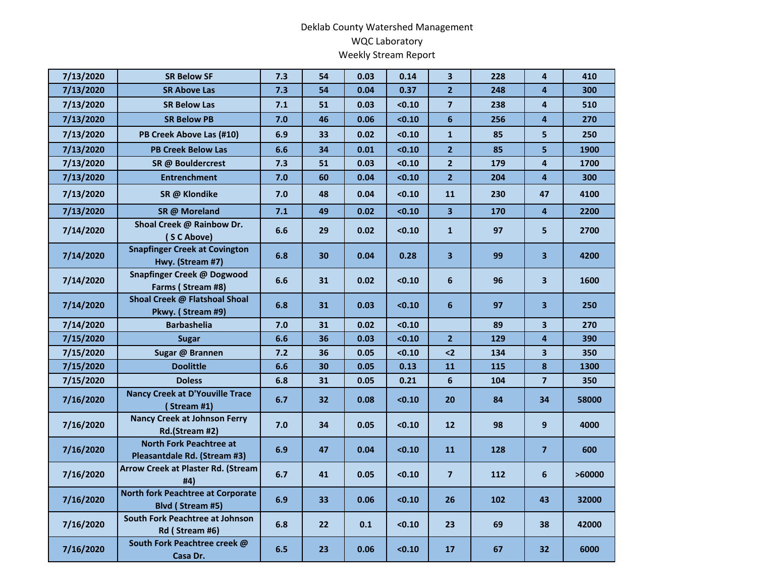## Deklab County Watershed Management WQC Laboratory Weekly Stream Report

| 7/13/2020 | <b>SR Below SF</b>                                             | 7.3 | 54 | 0.03 | 0.14   | $\overline{\mathbf{3}}$ | 228 | 4                       | 410    |
|-----------|----------------------------------------------------------------|-----|----|------|--------|-------------------------|-----|-------------------------|--------|
| 7/13/2020 | <b>SR Above Las</b>                                            | 7.3 | 54 | 0.04 | 0.37   | $\overline{2}$          | 248 | 4                       | 300    |
| 7/13/2020 | <b>SR Below Las</b>                                            | 7.1 | 51 | 0.03 | < 0.10 | $\overline{7}$          | 238 | $\overline{\mathbf{4}}$ | 510    |
| 7/13/2020 | <b>SR Below PB</b>                                             | 7.0 | 46 | 0.06 | < 0.10 | $6\phantom{a}$          | 256 | 4                       | 270    |
| 7/13/2020 | PB Creek Above Las (#10)                                       | 6.9 | 33 | 0.02 | < 0.10 | $\mathbf{1}$            | 85  | 5                       | 250    |
| 7/13/2020 | <b>PB Creek Below Las</b>                                      | 6.6 | 34 | 0.01 | < 0.10 | $\overline{2}$          | 85  | 5                       | 1900   |
| 7/13/2020 | SR @ Bouldercrest                                              | 7.3 | 51 | 0.03 | < 0.10 | 2 <sup>1</sup>          | 179 | $\overline{4}$          | 1700   |
| 7/13/2020 | <b>Entrenchment</b>                                            | 7.0 | 60 | 0.04 | < 0.10 | 2 <sup>1</sup>          | 204 | $\overline{\mathbf{4}}$ | 300    |
| 7/13/2020 | SR @ Klondike                                                  | 7.0 | 48 | 0.04 | < 0.10 | 11                      | 230 | 47                      | 4100   |
| 7/13/2020 | SR @ Moreland                                                  | 7.1 | 49 | 0.02 | < 0.10 | 3 <sup>1</sup>          | 170 | 4                       | 2200   |
| 7/14/2020 | Shoal Creek @ Rainbow Dr.<br>(SC Above)                        | 6.6 | 29 | 0.02 | < 0.10 | $\mathbf{1}$            | 97  | 5                       | 2700   |
| 7/14/2020 | <b>Snapfinger Creek at Covington</b><br>Hwy. (Stream #7)       | 6.8 | 30 | 0.04 | 0.28   | $\overline{\mathbf{3}}$ | 99  | $\overline{\mathbf{3}}$ | 4200   |
| 7/14/2020 | Snapfinger Creek @ Dogwood<br>Farms (Stream #8)                | 6.6 | 31 | 0.02 | < 0.10 | 6                       | 96  | $\overline{\mathbf{3}}$ | 1600   |
| 7/14/2020 | Shoal Creek @ Flatshoal Shoal<br>Pkwy. (Stream #9)             | 6.8 | 31 | 0.03 | < 0.10 | 6                       | 97  | $\overline{\mathbf{3}}$ | 250    |
| 7/14/2020 | <b>Barbashelia</b>                                             | 7.0 | 31 | 0.02 | < 0.10 |                         | 89  | 3                       | 270    |
| 7/15/2020 | <b>Sugar</b>                                                   | 6.6 | 36 | 0.03 | < 0.10 | 2 <sup>1</sup>          | 129 | 4                       | 390    |
| 7/15/2020 | Sugar @ Brannen                                                | 7.2 | 36 | 0.05 | < 0.10 | $2$                     | 134 | $\overline{\mathbf{3}}$ | 350    |
| 7/15/2020 | <b>Doolittle</b>                                               | 6.6 | 30 | 0.05 | 0.13   | 11                      | 115 | 8                       | 1300   |
| 7/15/2020 | <b>Doless</b>                                                  | 6.8 | 31 | 0.05 | 0.21   | 6                       | 104 | $\overline{7}$          | 350    |
| 7/16/2020 | <b>Nancy Creek at D'Youville Trace</b><br>(Stream #1)          | 6.7 | 32 | 0.08 | < 0.10 | 20                      | 84  | 34                      | 58000  |
| 7/16/2020 | <b>Nancy Creek at Johnson Ferry</b><br>Rd.(Stream #2)          | 7.0 | 34 | 0.05 | < 0.10 | 12                      | 98  | $\mathbf{9}$            | 4000   |
| 7/16/2020 | <b>North Fork Peachtree at</b><br>Pleasantdale Rd. (Stream #3) | 6.9 | 47 | 0.04 | < 0.10 | 11                      | 128 | $\overline{7}$          | 600    |
| 7/16/2020 | <b>Arrow Creek at Plaster Rd. (Stream</b><br>#4)               | 6.7 | 41 | 0.05 | < 0.10 | $\overline{7}$          | 112 | 6                       | >60000 |
| 7/16/2020 | <b>North fork Peachtree at Corporate</b><br>Blvd (Stream #5)   | 6.9 | 33 | 0.06 | < 0.10 | 26                      | 102 | 43                      | 32000  |
| 7/16/2020 | South Fork Peachtree at Johnson<br>Rd (Stream #6)              | 6.8 | 22 | 0.1  | < 0.10 | 23                      | 69  | 38                      | 42000  |
| 7/16/2020 | South Fork Peachtree creek @<br>Casa Dr.                       | 6.5 | 23 | 0.06 | $0.10$ | 17                      | 67  | 32                      | 6000   |